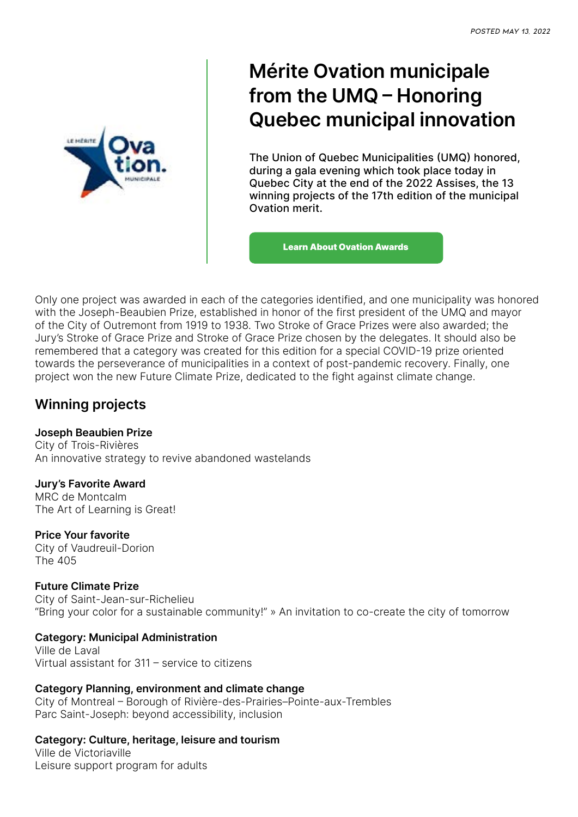

# **Mérite Ovation municipale from the UMQ – Honoring Quebec municipal innovation**

The Union of Quebec Municipalities (UMQ) honored, during a gala evening which took place today in Quebec City at the end of the 2022 Assises, the 13 winning projects of the 17th edition of the municipal Ovation merit.

[Learn About Ovation Awards](https://umq.qc.ca/#2022-05-20)

Only one project was awarded in each of the categories identified, and one municipality was honored with the Joseph-Beaubien Prize, established in honor of the first president of the UMQ and mayor of the City of Outremont from 1919 to 1938. Two Stroke of Grace Prizes were also awarded; the Jury's Stroke of Grace Prize and Stroke of Grace Prize chosen by the delegates. It should also be remembered that a category was created for this edition for a special COVID-19 prize oriented towards the perseverance of municipalities in a context of post-pandemic recovery. Finally, one project won the new Future Climate Prize, dedicated to the fight against climate change.

# **Winning projects**

#### **Joseph Beaubien Prize**

City of Trois-Rivières An innovative strategy to revive abandoned wastelands

#### **Jury's Favorite Award**

MRC de Montcalm The Art of Learning is Great!

## **Price Your favorite**

City of Vaudreuil-Dorion The 405

## **Future Climate Prize**

City of Saint-Jean-sur-Richelieu "Bring your color for a sustainable community!" » An invitation to co-create the city of tomorrow

## **Category: Municipal Administration**

Ville de Laval Virtual assistant for 311 – service to citizens

#### **Category Planning, environment and climate change** City of Montreal – Borough of Rivière-des-Prairies–Pointe-aux-Trembles Parc Saint-Joseph: beyond accessibility, inclusion

**Category: Culture, heritage, leisure and tourism** Ville de Victoriaville Leisure support program for adults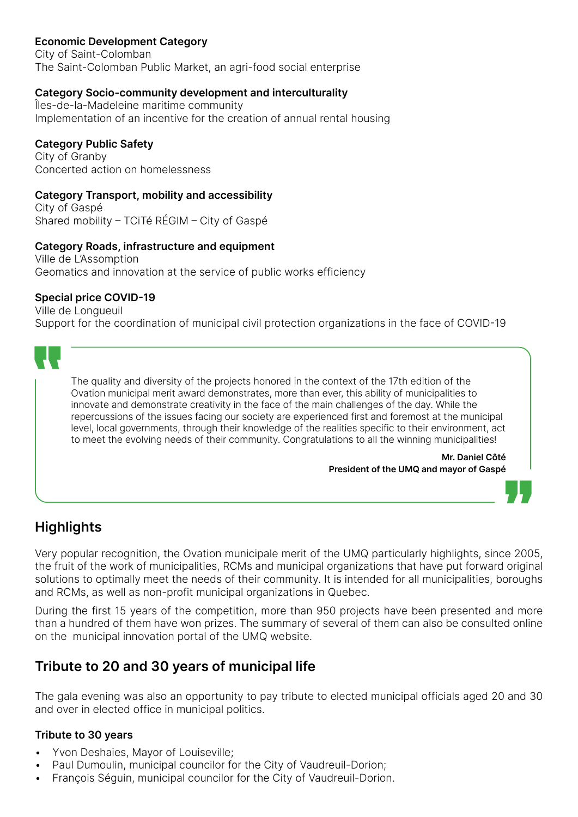# **Economic Development Category**

City of Saint-Colomban The Saint-Colomban Public Market, an agri-food social enterprise

#### **Category Socio-community development and interculturality**

Îles-de-la-Madeleine maritime community Implementation of an incentive for the creation of annual rental housing

## **Category Public Safety**

City of Granby Concerted action on homelessness

#### **Category Transport, mobility and accessibility**

City of Gaspé Shared mobility – TCiTé RÉGIM – City of Gaspé

#### **Category Roads, infrastructure and equipment**

Ville de L'Assomption Geomatics and innovation at the service of public works efficiency

#### **Special price COVID-19**

Ville de Longueuil Support for the coordination of municipal civil protection organizations in the face of COVID-19



The quality and diversity of the projects honored in the context of the 17th edition of the Ovation municipal merit award demonstrates, more than ever, this ability of municipalities to innovate and demonstrate creativity in the face of the main challenges of the day. While the repercussions of the issues facing our society are experienced first and foremost at the municipal level, local governments, through their knowledge of the realities specific to their environment, act to meet the evolving needs of their community. Congratulations to all the winning municipalities!

> **Mr. Daniel Côté President of the UMQ and mayor of Gaspé**



# **Highlights**

Very popular recognition, the Ovation municipale merit of the UMQ particularly highlights, since 2005, the fruit of the work of municipalities, RCMs and municipal organizations that have put forward original solutions to optimally meet the needs of their community. It is intended for all municipalities, boroughs and RCMs, as well as non-profit municipal organizations in Quebec.

During the first 15 years of the competition, more than 950 projects have been presented and more than a hundred of them have won prizes. The summary of several of them can also be consulted online on the municipal innovation portal of the UMQ website.

# **Tribute to 20 and 30 years of municipal life**

The gala evening was also an opportunity to pay tribute to elected municipal officials aged 20 and 30 and over in elected office in municipal politics.

#### **Tribute to 30 years**

- Yvon Deshaies, Mayor of Louiseville;
- Paul Dumoulin, municipal councilor for the City of Vaudreuil-Dorion;
- François Séguin, municipal councilor for the City of Vaudreuil-Dorion.